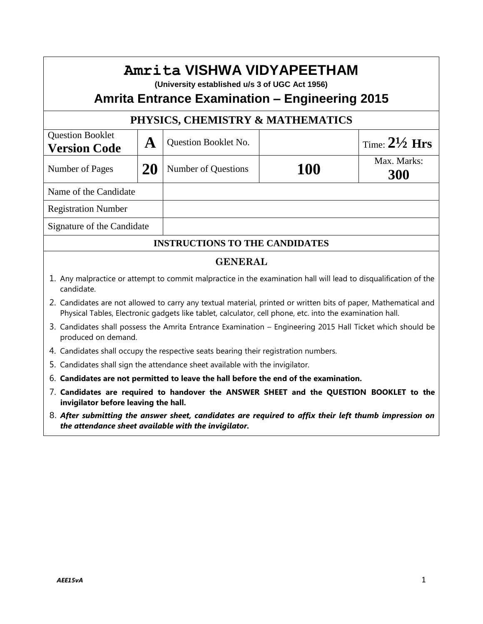| Amrita VISHWA VIDYAPEETHAM<br>(University established u/s 3 of UGC Act 1956)<br><b>Amrita Entrance Examination – Engineering 2015</b>                                                                                       |    |                                                                                     |            |                          |
|-----------------------------------------------------------------------------------------------------------------------------------------------------------------------------------------------------------------------------|----|-------------------------------------------------------------------------------------|------------|--------------------------|
|                                                                                                                                                                                                                             |    | PHYSICS, CHEMISTRY & MATHEMATICS                                                    |            |                          |
| <b>Question Booklet</b><br><b>Version Code</b>                                                                                                                                                                              | A  | <b>Question Booklet No.</b>                                                         |            | Time: $2\frac{1}{2}$ Hrs |
| Number of Pages                                                                                                                                                                                                             | 20 | <b>Number of Questions</b>                                                          | <b>100</b> | Max. Marks:<br>300       |
| Name of the Candidate                                                                                                                                                                                                       |    |                                                                                     |            |                          |
| <b>Registration Number</b>                                                                                                                                                                                                  |    |                                                                                     |            |                          |
| Signature of the Candidate                                                                                                                                                                                                  |    |                                                                                     |            |                          |
|                                                                                                                                                                                                                             |    | <b>INSTRUCTIONS TO THE CANDIDATES</b>                                               |            |                          |
| <b>GENERAL</b>                                                                                                                                                                                                              |    |                                                                                     |            |                          |
| 1. Any malpractice or attempt to commit malpractice in the examination hall will lead to disqualification of the<br>candidate.                                                                                              |    |                                                                                     |            |                          |
| 2. Candidates are not allowed to carry any textual material, printed or written bits of paper, Mathematical and<br>Physical Tables, Electronic gadgets like tablet, calculator, cell phone, etc. into the examination hall. |    |                                                                                     |            |                          |
| 3. Candidates shall possess the Amrita Entrance Examination - Engineering 2015 Hall Ticket which should be<br>produced on demand.                                                                                           |    |                                                                                     |            |                          |
|                                                                                                                                                                                                                             |    | 4. Candidates shall occupy the respective seats bearing their registration numbers. |            |                          |
| 5. Candidates shall sign the attendance sheet available with the invigilator.                                                                                                                                               |    |                                                                                     |            |                          |
| 6. Candidates are not permitted to leave the hall before the end of the examination.                                                                                                                                        |    |                                                                                     |            |                          |
| 7. Candidates are required to handover the ANSWER SHEET and the QUESTION BOOKLET to the<br>invigilator before leaving the hall.                                                                                             |    |                                                                                     |            |                          |
| 8. After submitting the answer sheet, candidates are required to affix their left thumb impression on<br>the attendance sheet available with the invigilator.                                                               |    |                                                                                     |            |                          |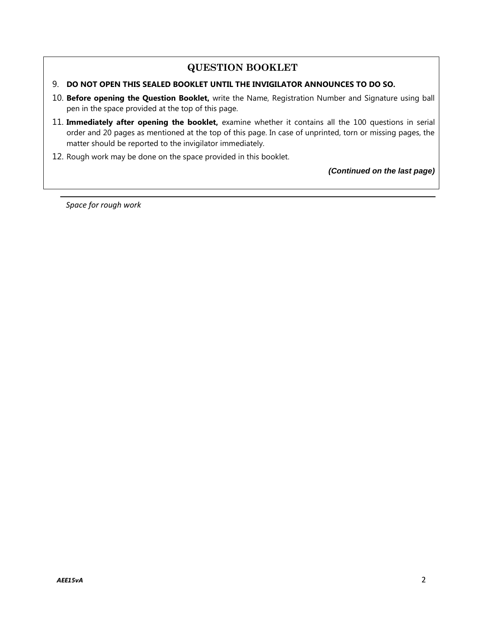## **QUESTION BOOKLET**

#### 9. **DO NOT OPEN THIS SEALED BOOKLET UNTIL THE INVIGILATOR ANNOUNCES TO DO SO.**

- 10. **Before opening the Question Booklet,** write the Name, Registration Number and Signature using ball pen in the space provided at the top of this page.
- 11. **Immediately after opening the booklet,** examine whether it contains all the 100 questions in serial order and 20 pages as mentioned at the top of this page. In case of unprinted, torn or missing pages, the matter should be reported to the invigilator immediately.
- 12. Rough work may be done on the space provided in this booklet.

*(Continued on the last page)*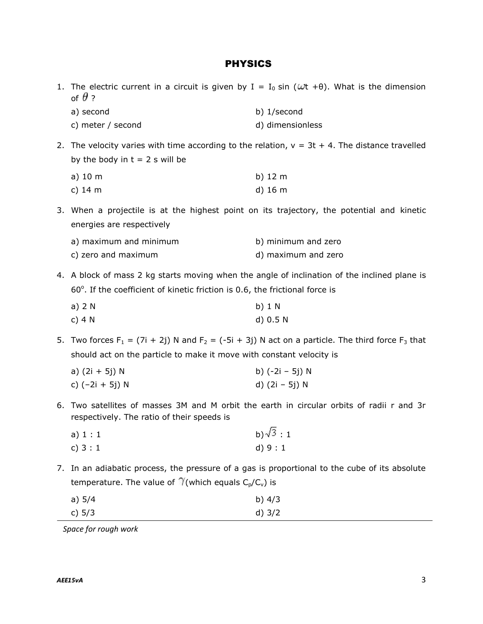#### PHYSICS

1. The electric current in a circuit is given by  $I = I_0 \sin (\omega t + \theta)$ . What is the dimension of  $\theta$  ?

| a) second         | b) 1/second      |
|-------------------|------------------|
| c) meter / second | d) dimensionless |

2. The velocity varies with time according to the relation,  $v = 3t + 4$ . The distance travelled by the body in  $t = 2$  s will be

| a) 10 m | b) 12 m           |
|---------|-------------------|
| c) 14 m | d) $16 \text{ m}$ |

3. When a projectile is at the highest point on its trajectory, the potential and kinetic energies are respectively

| a) maximum and minimum | b) minimum and zero |
|------------------------|---------------------|
| c) zero and maximum    | d) maximum and zero |

4. A block of mass 2 kg starts moving when the angle of inclination of the inclined plane is 60°. If the coefficient of kinetic friction is 0.6, the frictional force is

| a) 2 N | b) $1 N$ |
|--------|----------|
| c) 4 N | d) 0.5 N |

5. Two forces F<sub>1</sub> = (7i + 2j) N and F<sub>2</sub> = (-5i + 3j) N act on a particle. The third force F<sub>3</sub> that should act on the particle to make it move with constant velocity is

| a) (2i + 5j) N  | b) (-2i – 5j) N |
|-----------------|-----------------|
| c) (-2i + 5j) N | d) (2i – 5j) N  |

6. Two satellites of masses 3M and M orbit the earth in circular orbits of radii r and 3r respectively. The ratio of their speeds is

| a) 1 : 1 | b) $\sqrt{3}$ : 1 |
|----------|-------------------|
| c) $3:1$ | d) $9:1$          |

7. In an adiabatic process, the pressure of a gas is proportional to the cube of its absolute temperature. The value of  $\mathcal{V}$ (which equals  $C_p/C_v$ ) is

| a) 5/4 | b) $4/3$ |
|--------|----------|
| c) 5/3 | d) $3/2$ |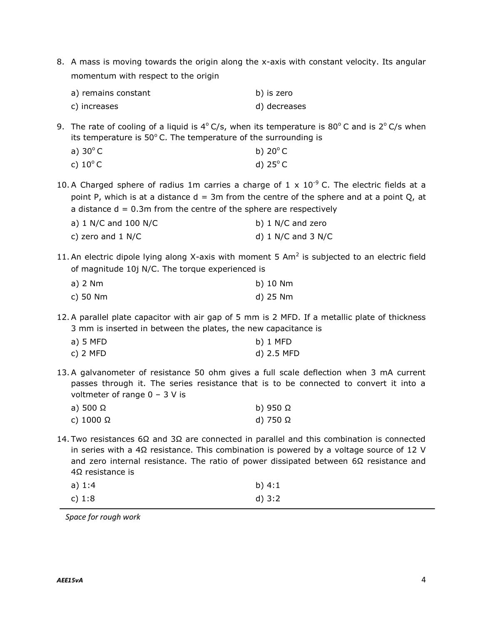8. A mass is moving towards the origin along the x-axis with constant velocity. Its angular momentum with respect to the origin

| a) remains constant | b) is zero   |
|---------------------|--------------|
| c) increases        | d) decreases |

9. The rate of cooling of a liquid is  $4^{\circ}$  C/s, when its temperature is 80 $^{\circ}$ C and is 2 $^{\circ}$  C/s when its temperature is  $50^{\circ}$  C. The temperature of the surrounding is

| a) $30^{\circ}$ C | b) $20^{\circ}$ C |
|-------------------|-------------------|
| c) $10^{\circ}$ C | d) $25^{\circ}$ C |

10. A Charged sphere of radius 1m carries a charge of 1 x  $10^{-9}$  C. The electric fields at a point P, which is at a distance  $d = 3m$  from the centre of the sphere and at a point Q, at a distance  $d = 0.3$ m from the centre of the sphere are respectively

| a) $1$ N/C and $100$ N/C | b) 1 N/C and zero      |
|--------------------------|------------------------|
| c) zero and $1$ N/C      | d) $1$ N/C and $3$ N/C |

11. An electric dipole lying along X-axis with moment 5 Am<sup>2</sup> is subjected to an electric field of magnitude 10j N/C. The torque experienced is

| a) 2 Nm  | b) 10 Nm |
|----------|----------|
| c) 50 Nm | d) 25 Nm |

12.A parallel plate capacitor with air gap of 5 mm is 2 MFD. If a metallic plate of thickness 3 mm is inserted in between the plates, the new capacitance is

| a) 5 MFD | b) 1 MFD   |
|----------|------------|
| c) 2 MFD | d) 2.5 MFD |

13.A galvanometer of resistance 50 ohm gives a full scale deflection when 3 mA current passes through it. The series resistance that is to be connected to convert it into a voltmeter of range  $0 - 3$  V is

| a) 500 Ω  | b) 950 $\Omega$ |
|-----------|-----------------|
| c) 1000 Ω | d) 750 $\Omega$ |

14. Two resistances 6Ω and 3Ω are connected in parallel and this combination is connected in series with a 4 $\Omega$  resistance. This combination is powered by a voltage source of 12 V and zero internal resistance. The ratio of power dissipated between  $6\Omega$  resistance and 4Ω resistance is

| a) 1:4 | b) $4:1$ |
|--------|----------|
| c) 1:8 | d) 3:2   |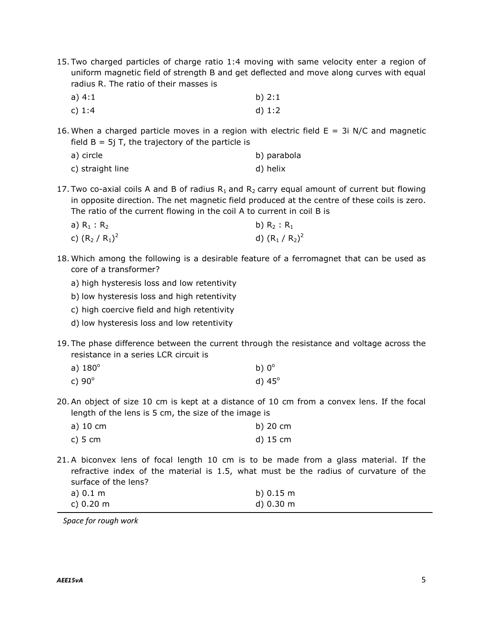15. Two charged particles of charge ratio 1:4 moving with same velocity enter a region of uniform magnetic field of strength B and get deflected and move along curves with equal radius R. The ratio of their masses is

| a) 4:1   | b) $2:1$ |
|----------|----------|
| c) $1:4$ | d) $1:2$ |

16. When a charged particle moves in a region with electric field  $E = 3i$  N/C and magnetic field  $B = 5j$  T, the trajectory of the particle is

| a) circle        | b) parabola |
|------------------|-------------|
| c) straight line | d) helix    |

17. Two co-axial coils A and B of radius  $R_1$  and  $R_2$  carry equal amount of current but flowing in opposite direction. The net magnetic field produced at the centre of these coils is zero. The ratio of the current flowing in the coil A to current in coil B is

| a) $R_1 : R_2$   | b) $R_2: R_1$    |
|------------------|------------------|
| c) $(R_2/R_1)^2$ | d) $(R_1/R_2)^2$ |

- 18. Which among the following is a desirable feature of a ferromagnet that can be used as core of a transformer?
	- a) high hysteresis loss and low retentivity
	- b) low hysteresis loss and high retentivity
	- c) high coercive field and high retentivity
	- d) low hysteresis loss and low retentivity
- 19. The phase difference between the current through the resistance and voltage across the resistance in a series LCR circuit is

| a) $180^\circ$ | b) $0^\circ$ |
|----------------|--------------|
|                |              |

- c)  $90^{\circ}$  d)  $45^{\circ}$
- 20.An object of size 10 cm is kept at a distance of 10 cm from a convex lens. If the focal length of the lens is 5 cm, the size of the image is

| a) 10 cm | b) 20 cm |
|----------|----------|
| c) 5 cm  | d) 15 cm |

21.A biconvex lens of focal length 10 cm is to be made from a glass material. If the refractive index of the material is 1.5, what must be the radius of curvature of the surface of the lens?

| a) $0.1 \text{ m}$  | b) $0.15 \text{ m}$ |
|---------------------|---------------------|
| c) $0.20 \text{ m}$ | d) 0.30 m           |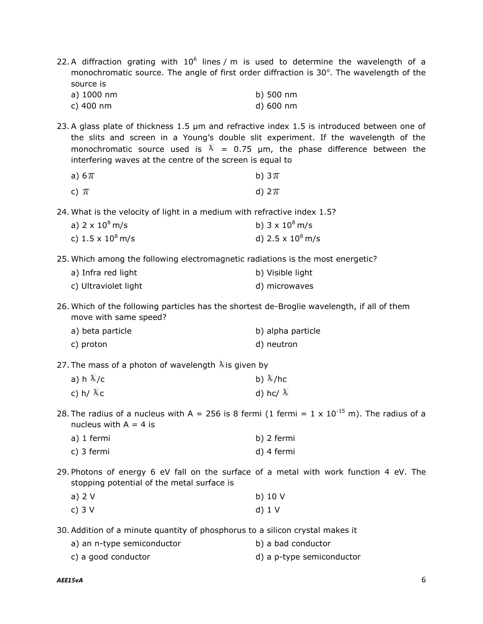22. A diffraction grating with  $10^6$  lines / m is used to determine the wavelength of a monochromatic source. The angle of first order diffraction is  $30^\circ$ . The wavelength of the source is

a) 1000 nm b) 500 nm c) 400 nm d) 600 nm

23.A glass plate of thickness 1.5 μm and refractive index 1.5 is introduced between one of the slits and screen in a Young's double slit experiment. If the wavelength of the monochromatic source used is  $\lambda = 0.75$  µm, the phase difference between the interfering waves at the centre of the screen is equal to

| a) $6\pi$ | b) $3\pi$ |
|-----------|-----------|
| c) $\pi$  | d) $2\pi$ |

24. What is the velocity of light in a medium with refractive index 1.5?

| a) 2 x 10 <sup>8</sup> m/s   | b) $3 \times 10^8$ m/s   |
|------------------------------|--------------------------|
| c) 1.5 x 10 <sup>8</sup> m/s | d) $2.5 \times 10^8$ m/s |

25. Which among the following electromagnetic radiations is the most energetic?

| a) Infra red light   | b) Visible light |
|----------------------|------------------|
| c) Ultraviolet light | d) microwaves    |

26. Which of the following particles has the shortest de-Broglie wavelength, if all of them move with same speed?

| a) beta particle | b) alpha particle |
|------------------|-------------------|
| c) proton        | d) neutron        |

27. The mass of a photon of wavelength  $\lambda$  is given by

|                      | b) $\lambda$ /hc |
|----------------------|------------------|
| c) h/ <sup>እ</sup> c | d) hc/ $\lambda$ |

28. The radius of a nucleus with A = 256 is 8 fermi (1 fermi =  $1 \times 10^{-15}$  m). The radius of a nucleus with  $A = 4$  is

| a) 1 fermi | b) 2 fermi |
|------------|------------|
| c) 3 fermi | d) 4 fermi |

29. Photons of energy 6 eV fall on the surface of a metal with work function 4 eV. The stopping potential of the metal surface is

| a) 2 V | b) $10V$ |
|--------|----------|
| c) 3 V | $d)$ 1 V |

30.Addition of a minute quantity of phosphorus to a silicon crystal makes it

| a) an n-type semiconductor | b) a bad conductor |  |
|----------------------------|--------------------|--|
|                            |                    |  |

c) a good conductor and a p-type semiconductor d) a p-type semiconductor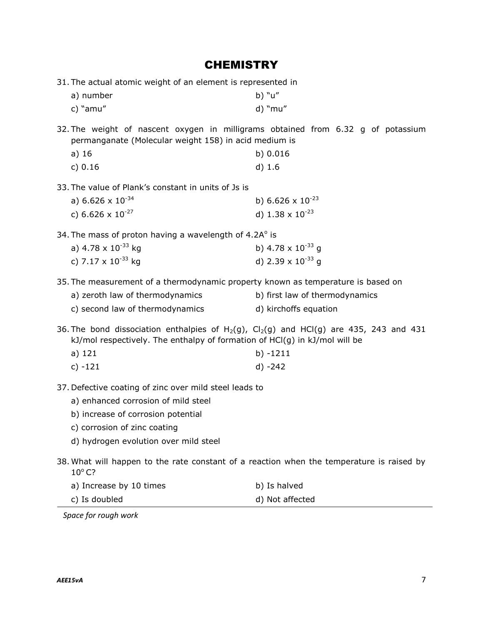# **CHEMISTRY**

31. The actual atomic weight of an element is represented in

| a) number  | b) "u"  |
|------------|---------|
| c) $"amu"$ | d) "mu" |

32. The weight of nascent oxygen in milligrams obtained from 6.32 g of potassium permanganate (Molecular weight 158) in acid medium is

| a) 16   | b) 0.016 |
|---------|----------|
| c) 0.16 | $d)$ 1.6 |

33. The value of Plank's constant in units of Js is

| a) 6.626 x $10^{-34}$ | b) 6.626 x $10^{-23}$     |
|-----------------------|---------------------------|
| c) 6.626 x $10^{-27}$ | d) $1.38 \times 10^{-23}$ |

34. The mass of proton having a wavelength of  $4.2A^{\circ}$  is

| a) 4.78 x $10^{-33}$ kg | b) 4.78 x $10^{-33}$ g |
|-------------------------|------------------------|
| c) 7.17 x $10^{-33}$ kg | d) 2.39 x $10^{-33}$ g |

35. The measurement of a thermodynamic property known as temperature is based on

| a) zeroth law of thermodynamics | b) first law of thermodynamics |
|---------------------------------|--------------------------------|
| c) second law of thermodynamics | d) kirchoffs equation          |

36. The bond dissociation enthalpies of  $H_2(g)$ ,  $Cl_2(g)$  and  $HCl(g)$  are 435, 243 and 431 kJ/mol respectively. The enthalpy of formation of HCl(g) in kJ/mol will be

| a) $121$  | b) -1211 |
|-----------|----------|
| c) $-121$ | d) -242  |

37. Defective coating of zinc over mild steel leads to

- a) enhanced corrosion of mild steel
- b) increase of corrosion potential
- c) corrosion of zinc coating
- d) hydrogen evolution over mild steel
- 38. What will happen to the rate constant of a reaction when the temperature is raised by  $10^{\circ}$  C?
	- a) Increase by 10 times b) Is halved
	- c) Is doubled d) Not affected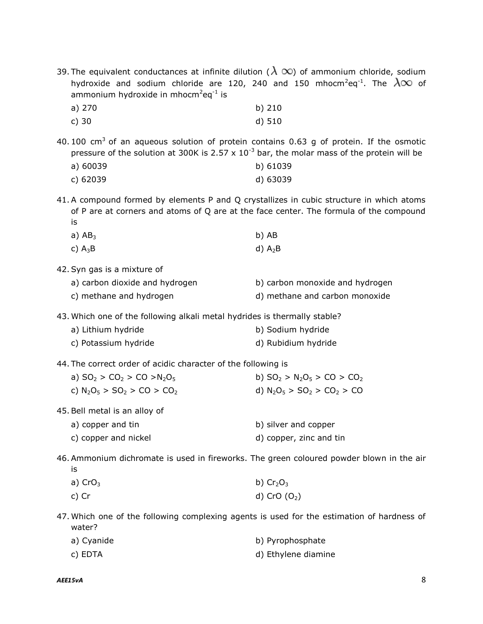|                                                              |  |  |  |  |  |  |  | 39. The equivalent conductances at infinite dilution ( $\lambda \infty$ ) of ammonium chloride, sodium          |  |  |
|--------------------------------------------------------------|--|--|--|--|--|--|--|-----------------------------------------------------------------------------------------------------------------|--|--|
|                                                              |  |  |  |  |  |  |  | hydroxide and sodium chloride are 120, 240 and 150 mhocm <sup>2</sup> eq <sup>-1</sup> . The $\lambda\infty$ of |  |  |
| ammonium hydroxide in mhocm <sup>2</sup> eq <sup>-1</sup> is |  |  |  |  |  |  |  |                                                                                                                 |  |  |

| a) $270$ | b) $210$ |
|----------|----------|
| c) $30$  | $d)$ 510 |

40. 100  $cm<sup>3</sup>$  of an aqueous solution of protein contains 0.63 g of protein. If the osmotic pressure of the solution at 300K is 2.57 x  $10^{-3}$  bar, the molar mass of the protein will be

| a) 60039 | b) 61039 |
|----------|----------|
| c) 62039 | d) 63039 |

41.A compound formed by elements P and Q crystallizes in cubic structure in which atoms of P are at corners and atoms of Q are at the face center. The formula of the compound is

| a) $AB_3$ | b) AB     |
|-----------|-----------|
| c) $A_3B$ | d) $A_2B$ |

42.Syn gas is a mixture of

| a) carbon dioxide and hydrogen | b) carbon monoxide and hydrogen |
|--------------------------------|---------------------------------|
| c) methane and hydrogen        | d) methane and carbon monoxide  |

43. Which one of the following alkali metal hydrides is thermally stable?

| a) Lithium hydride   | b) Sodium hydride   |
|----------------------|---------------------|
| c) Potassium hydride | d) Rubidium hydride |

44. The correct order of acidic character of the following is

| a) $SO_2 > CO_2 > CO > N_2O_5$                       | b) $SO_2 > N_2O_5 > CO > CO_2$ |
|------------------------------------------------------|--------------------------------|
| c) $N_2O_5$ > SO <sub>2</sub> > CO > CO <sub>2</sub> | d) $N_2O_5 > SO_2 > CO_2 > CO$ |
| 45. Bell metal is an alloy of                        |                                |
| a) copper and tin                                    | b) silver and copper           |

c) copper and nickel d) copper, zinc and tin

46.Ammonium dichromate is used in fireworks. The green coloured powder blown in the air is

| a) $CrO3$ | b) $Cr2O3$     |
|-----------|----------------|
| c) Cr     | d) CrO $(O_2)$ |

47. Which one of the following complexing agents is used for the estimation of hardness of water?

| a) Cyanide | b) Pyrophosphate    |
|------------|---------------------|
| c) EDTA    | d) Ethylene diamine |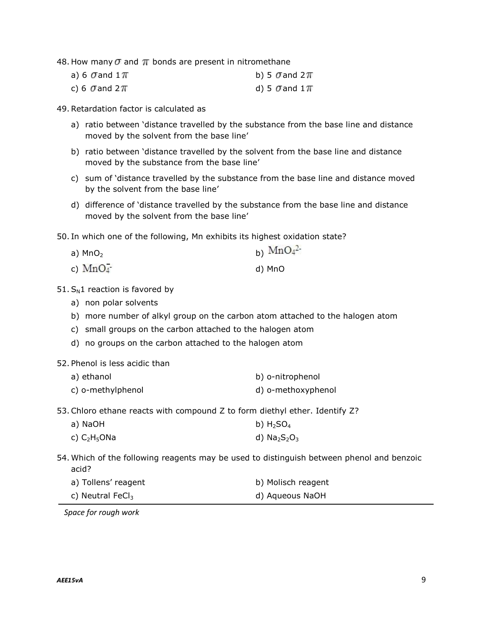48. How many  $\sigma$  and  $\pi$  bonds are present in nitromethane

| a) 6 $\sigma$ and 1 $\pi$ | b) 5 $\sigma$ and 2 $\pi$ |
|---------------------------|---------------------------|
| c) 6 $\sigma$ and 2 $\pi$ | d) 5 $\sigma$ and 1 $\pi$ |

49.Retardation factor is calculated as

- a) ratio between 'distance travelled by the substance from the base line and distance moved by the solvent from the base line'
- b) ratio between 'distance travelled by the solvent from the base line and distance moved by the substance from the base line'
- c) sum of 'distance travelled by the substance from the base line and distance moved by the solvent from the base line'
- d) difference of 'distance travelled by the substance from the base line and distance moved by the solvent from the base line'

 $\sim$   $\sim$   $\sim$ 

50. In which one of the following, Mn exhibits its highest oxidation state?

| a) $MnO2$ | b) $MnO4$ |
|-----------|-----------|
| c) $MnO4$ | d) MnO    |

- $51. S<sub>N</sub>1$  reaction is favored by
	- a) non polar solvents
	- b) more number of alkyl group on the carbon atom attached to the halogen atom
	- c) small groups on the carbon attached to the halogen atom
	- d) no groups on the carbon attached to the halogen atom
- 52. Phenol is less acidic than

| a) ethanol        | b) o-nitrophenol   |
|-------------------|--------------------|
| c) o-methylphenol | d) o-methoxyphenol |

53.Chloro ethane reacts with compound Z to form diethyl ether. Identify Z?

| a) NaOH                 | b) $H_2SO_4$ |
|-------------------------|--------------|
| c) C2H <sub>5</sub> ONa | d) $Na2S2O3$ |

54. Which of the following reagents may be used to distinguish between phenol and benzoic acid?

| a) Tollens' reagent          | b) Molisch reagent |
|------------------------------|--------------------|
| c) Neutral FeCl <sub>3</sub> | d) Aqueous NaOH    |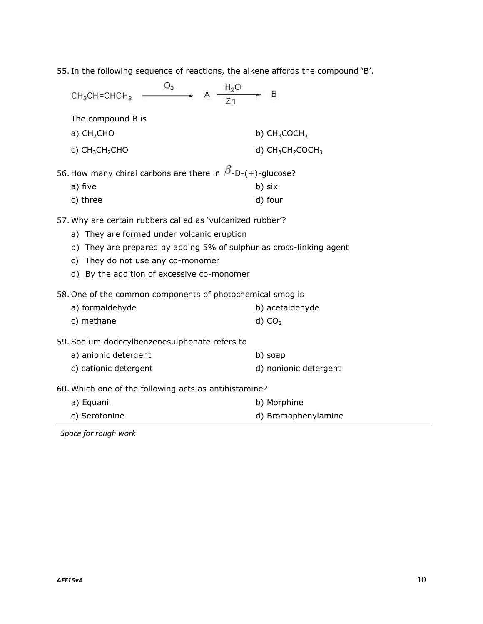55. In the following sequence of reactions, the alkene affords the compound 'B'.

| $O_3$<br>$\frac{H_2O}{H_2}$<br>$CH3CH=CHCH3$                                                                                                                                                                                                                       | в                     |
|--------------------------------------------------------------------------------------------------------------------------------------------------------------------------------------------------------------------------------------------------------------------|-----------------------|
| The compound B is                                                                                                                                                                                                                                                  |                       |
| a) $CH3CHO$                                                                                                                                                                                                                                                        | b) $CH3COCH3$         |
| c) $CH_3CH_2CHO$                                                                                                                                                                                                                                                   | d) $CH_3CH_2COCH_3$   |
| 56. How many chiral carbons are there in $\beta$ -D-(+)-glucose?<br>a) five                                                                                                                                                                                        | b) six                |
| c) three                                                                                                                                                                                                                                                           | d) four               |
| 57. Why are certain rubbers called as 'vulcanized rubber'?<br>a) They are formed under volcanic eruption<br>b) They are prepared by adding 5% of sulphur as cross-linking agent<br>c) They do not use any co-monomer<br>d) By the addition of excessive co-monomer |                       |
| 58. One of the common components of photochemical smog is                                                                                                                                                                                                          |                       |
| a) formaldehyde                                                                                                                                                                                                                                                    | b) acetaldehyde       |
| c) methane                                                                                                                                                                                                                                                         | d) CO <sub>2</sub>    |
| 59. Sodium dodecylbenzenesulphonate refers to                                                                                                                                                                                                                      |                       |
| a) anionic detergent                                                                                                                                                                                                                                               | b) soap               |
| c) cationic detergent                                                                                                                                                                                                                                              | d) nonionic detergent |
| 60. Which one of the following acts as antihistamine?                                                                                                                                                                                                              |                       |
| a) Equanil                                                                                                                                                                                                                                                         | b) Morphine           |
| c) Serotonine                                                                                                                                                                                                                                                      | d) Bromophenylamine   |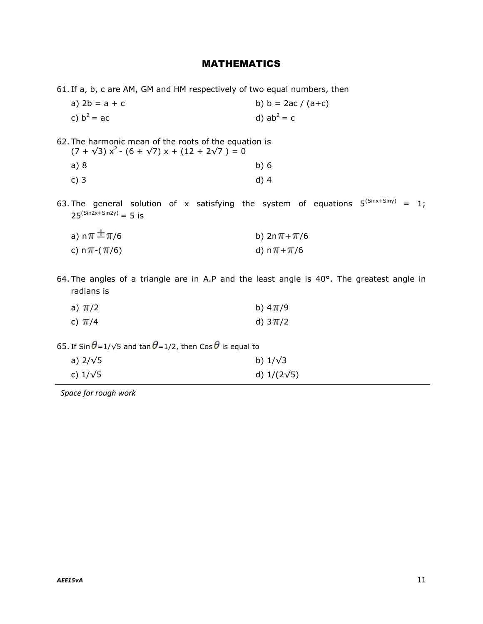## MATHEMATICS

61. If a, b, c are AM, GM and HM respectively of two equal numbers, then

a)  $2b = a + c$  b)  $b = 2ac / (a+c)$ c)  $b^2 = ac$ d)  $ab^2 = c$ 

62. The harmonic mean of the roots of the equation is  $(7 + \sqrt{3}) x^{2} - (6 + \sqrt{7}) x + (12 + 2\sqrt{7}) = 0$ 

| a)8    | b)6    |
|--------|--------|
| $c)$ 3 | $d)$ 4 |

63. The general solution of x satisfying the system of equations  $5^{(\text{Sin} \times + \text{Sin} \gamma)} = 1$ ;  $25^{(Sin2x+Sin2y)} = 5$  is

| a) n $\pi$ $\pm \pi$ /6 | b) $2n\pi + \pi/6$ |
|-------------------------|--------------------|
| c) n $\pi$ -( $\pi$ /6) |                    |

64. The angles of a triangle are in A.P and the least angle is 40°. The greatest angle in radians is

| a) π/2     | b) 4 Tr/9   |
|------------|-------------|
| c) $\pi/4$ | d) $3\pi/2$ |

65. If Sin  $\theta$ =1/ $\sqrt{5}$  and tan  $\theta$ =1/2, then Cos  $\theta$  is equal to

| a) $2/\sqrt{5}$ | b) $1/\sqrt{3}$    |
|-----------------|--------------------|
| c) $1/\sqrt{5}$ | d) $1/(2\sqrt{5})$ |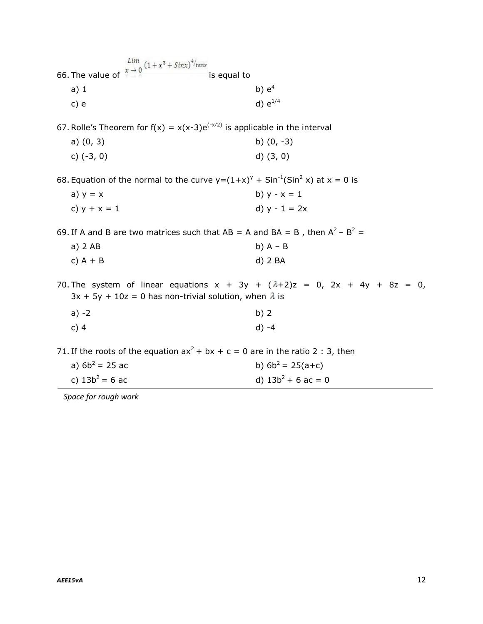| 66. The value of $\int_{0}^{Ltm} (1 + x^3 + Sinx)^{4}/tanx$<br>is equal to                                                                                 |                       |
|------------------------------------------------------------------------------------------------------------------------------------------------------------|-----------------------|
|                                                                                                                                                            | b) $e^4$              |
| a) 1                                                                                                                                                       |                       |
| c) e                                                                                                                                                       | d) $e^{1/4}$          |
| 67. Rolle's Theorem for $f(x) = x(x-3)e^{(-x/2)}$ is applicable in the interval                                                                            |                       |
| a) $(0, 3)$                                                                                                                                                | b) $(0, -3)$          |
| c) $(-3, 0)$                                                                                                                                               | $d)$ $(3, 0)$         |
| 68. Equation of the normal to the curve $y=(1+x)^{y}$ + Sin <sup>-1</sup> (Sin <sup>2</sup> x) at x = 0 is                                                 |                       |
| a) $y = x$                                                                                                                                                 | b) $y - x = 1$        |
| c) $y + x = 1$                                                                                                                                             | d) $y - 1 = 2x$       |
| 69. If A and B are two matrices such that AB = A and BA = B, then $A^2 - B^2 =$                                                                            |                       |
| a) 2 AB                                                                                                                                                    | b) $A - B$            |
| c) $A + B$                                                                                                                                                 | $d)$ 2 BA             |
| 70. The system of linear equations $x + 3y + (\lambda + 2)z = 0$ , $2x + 4y + 8z = 0$ ,<br>$3x + 5y + 10z = 0$ has non-trivial solution, when $\lambda$ is |                       |
| $a) -2$                                                                                                                                                    | b)2                   |
| c) $4$                                                                                                                                                     | $d) -4$               |
| 71. If the roots of the equation $ax^2 + bx + c = 0$ are in the ratio 2 : 3, then                                                                          |                       |
| a) $6b^2 = 25$ ac                                                                                                                                          | b) $6b^2 = 25(a+c)$   |
| c) $13b^2 = 6$ ac                                                                                                                                          | d) $13b^2 + 6$ ac = 0 |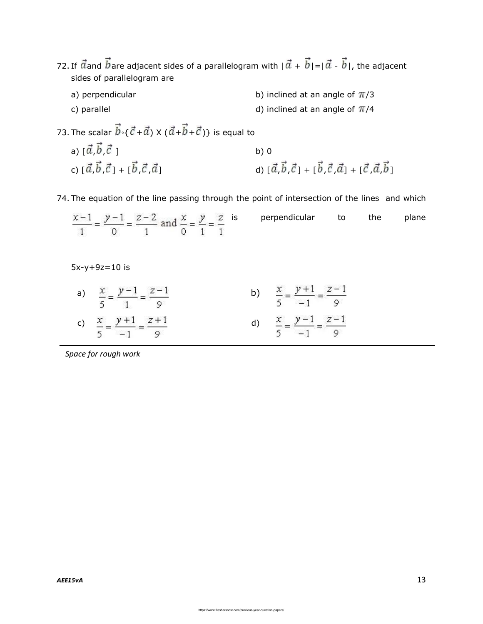- 72. If  $\vec{a}$  and  $\vec{b}$  are adjacent sides of a parallelogram with  $|\vec{a} + \vec{b}| = |\vec{a} \vec{b}|$ , the adjacent sides of parallelogram are
	- a) perpendicular b) inclined at an angle of  $\pi/3$ c) parallel  $\sim$  d) inclined at an angle of  $\pi/4$

73. The scalar  $\vec{b} \cdot \{\vec{c} + \vec{a}\} \times (\vec{a} + \vec{b} + \vec{c})\}$  is equal to

a)  $[\vec{a}, \vec{b}, \vec{c}]$  b) 0 c)  $[\vec{a}, \vec{b}, \vec{c}]$  +  $[\vec{b}, \vec{c}, \vec{a}]$  d)  $[\vec{a}, \vec{b}, \vec{c}]$  +  $[\vec{b}, \vec{c}, \vec{a}]$  +  $[\vec{c}, \vec{a}, \vec{b}]$ 

74. The equation of the line passing through the point of intersection of the lines and which

 $\frac{x-1}{1} = \frac{y-1}{0} = \frac{z-2}{1}$  and  $\frac{x}{0} = \frac{y}{1} = \frac{z}{1}$  is perpendicular to the plane

5x-y+9z=10 is

| a) $\frac{x}{5} = \frac{y-1}{1} = \frac{z-1}{9}$  | b) $\frac{x}{5} = \frac{y+1}{-1} = \frac{z-1}{9}$ |
|---------------------------------------------------|---------------------------------------------------|
| c) $\frac{x}{5} = \frac{y+1}{-1} = \frac{z+1}{9}$ | d) $\frac{x}{5} = \frac{y-1}{-1} = \frac{z-1}{9}$ |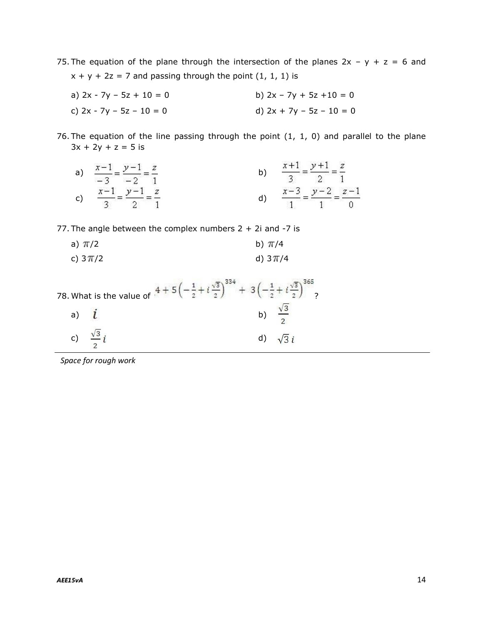75. The equation of the plane through the intersection of the planes  $2x - y + z = 6$  and  $x + y + 2z = 7$  and passing through the point  $(1, 1, 1)$  is

- a)  $2x 7y 5z + 10 = 0$  b)  $2x 7y + 5z + 10 = 0$ c)  $2x - 7y - 5z - 10 = 0$  d)  $2x + 7y - 5z - 10 = 0$
- 76. The equation of the line passing through the point (1, 1, 0) and parallel to the plane  $3x + 2y + z = 5$  is
	- a)  $\frac{x-1}{-3} = \frac{y-1}{-2} = \frac{z}{1}$  b)  $\frac{x+1}{3} = \frac{y+1}{2} = \frac{z}{1}$ c)  $\frac{x-1}{3} = \frac{y-1}{2} = \frac{z}{1}$  d)  $\frac{x-3}{1} = \frac{y-2}{1} = \frac{z-1}{0}$

77. The angle between the complex numbers  $2 + 2i$  and  $-7$  is

a)  $\pi/2$  b)  $\pi/4$ c)  $3\pi/2$  d)  $3\pi/4$ 

|              | $i\frac{\sqrt{3}}{2}$ $+3\left(-\frac{1}{2}\right)$<br>78. What is the value of $.4 + 5$ $($<br>$2^{\circ}$ |    | $\mathcal{D}$ |
|--------------|-------------------------------------------------------------------------------------------------------------|----|---------------|
| a)           |                                                                                                             | b) |               |
| $\mathsf{C}$ |                                                                                                             |    |               |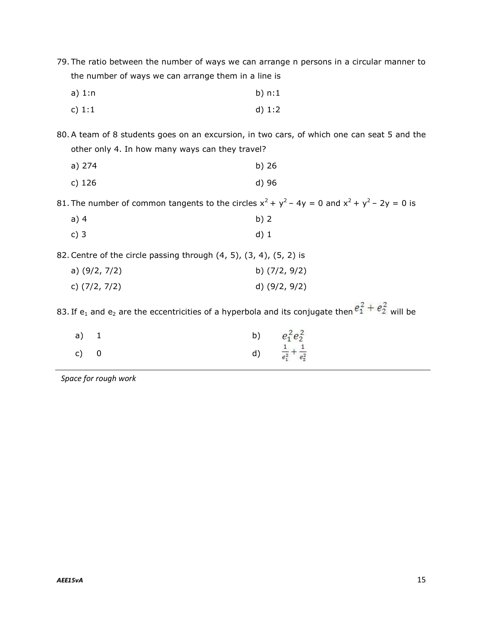- 79. The ratio between the number of ways we can arrange n persons in a circular manner to the number of ways we can arrange them in a line is
	- a) 1:n b) n:1 c)  $1:1$  d)  $1:2$
- 80.A team of 8 students goes on an excursion, in two cars, of which one can seat 5 and the other only 4. In how many ways can they travel?

| a) 274   | b)26  |
|----------|-------|
| $c)$ 126 | d) 96 |

81. The number of common tangents to the circles  $x^2 + y^2 - 4y = 0$  and  $x^2 + y^2 - 2y = 0$  is

- a) 4 b) 2
- c) 3 d) 1
- 82.Centre of the circle passing through (4, 5), (3, 4), (5, 2) is

| a) (9/2, 7/2) | b) (7/2, 9/2) |
|---------------|---------------|
| c) (7/2, 7/2) | d) (9/2, 9/2) |

83. If e<sub>1</sub> and e<sub>2</sub> are the eccentricities of a hyperbola and its conjugate then  $e_1^2 + e_2^2$  will be

| $a)$ 1 |  | b) $e_1^2 e_2^2$                       |
|--------|--|----------------------------------------|
| c) 0   |  | d) $\frac{1}{e_1^2} + \frac{1}{e_2^2}$ |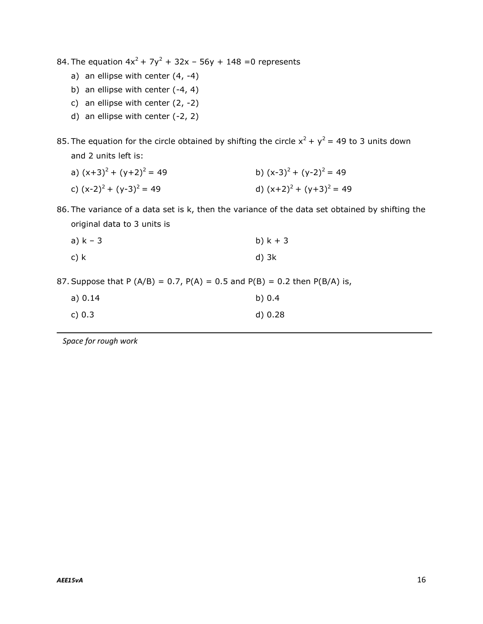84. The equation  $4x^2 + 7y^2 + 32x - 56y + 148 = 0$  represents

- a) an ellipse with center  $(4, -4)$
- b) an ellipse with center (-4, 4)
- c) an ellipse with center  $(2, -2)$
- d) an ellipse with center (-2, 2)

85. The equation for the circle obtained by shifting the circle  $x^2 + y^2 = 49$  to 3 units down and 2 units left is:

- a)  $(x+3)^2 + (y+2)^2 = 49$  b)  $(x-3)^2 + (y-2)^2 = 49$
- c)  $(x-2)^2 + (y-3)^2 = 49$  d)  $(x+2)^2 + (y+3)^2 = 49$

86. The variance of a data set is k, then the variance of the data set obtained by shifting the original data to 3 units is

| a) $k - 3$ | b) $k + 3$ |
|------------|------------|
|------------|------------|

c) k d)  $3k$ 

87. Suppose that P (A/B) = 0.7, P(A) = 0.5 and P(B) = 0.2 then P(B/A) is,

| a) 0.14 | b) $0.4$ |
|---------|----------|
| c) 0.3  | d) 0.28  |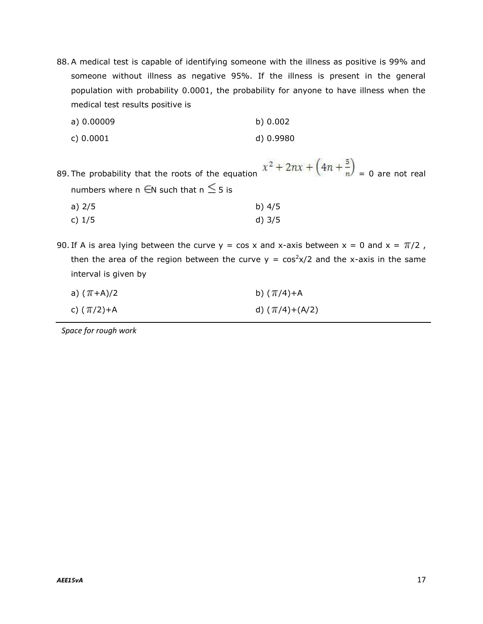88.A medical test is capable of identifying someone with the illness as positive is 99% and someone without illness as negative 95%. If the illness is present in the general population with probability 0.0001, the probability for anyone to have illness when the medical test results positive is

| a) 0.00009 | b) 0.002 |
|------------|----------|
|            |          |

c) 0.0001 d) 0.9980

89. The probability that the roots of the equation  $x^2 + 2nx + (4n + \frac{5}{n}) = 0$  are not real numbers where n  $\epsilon$ N such that n  $\leq$  5 is

| a) 2/5 | b) $4/5$ |
|--------|----------|
| c) 1/5 | $d)$ 3/5 |

90. If A is area lying between the curve  $y = cos x$  and x-axis between  $x = 0$  and  $x = \pi/2$ , then the area of the region between the curve  $y = cos^2x/2$  and the x-axis in the same interval is given by

| a) ( <i>π</i> +A)/2 | b) $(\pi/4) + A$   |
|---------------------|--------------------|
| c) (1/2)+A          | d) $(\pi/4)+(A/2)$ |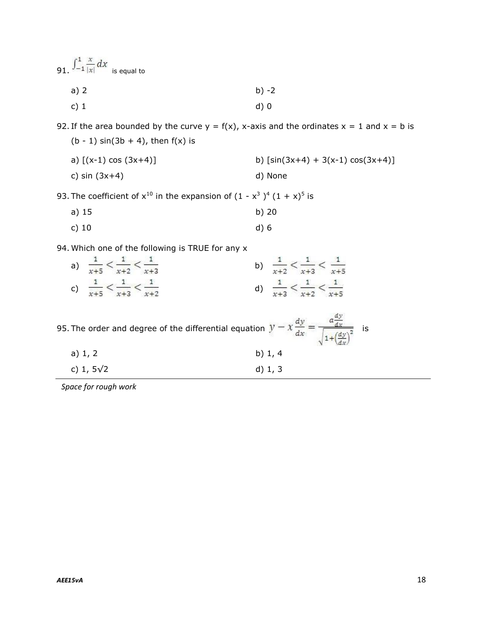91.  $\int_{-1}^{1} \frac{x}{|x|} dx$  is equal to a) 2 b)  $-2$ 

c) 1 d) 0

92. If the area bounded by the curve  $y = f(x)$ , x-axis and the ordinates  $x = 1$  and  $x = b$  is (b - 1)  $sin(3b + 4)$ , then  $f(x)$  is

| a) $[(x-1) \cos (3x+4)]$ | b) $[sin(3x+4) + 3(x-1) cos(3x+4)]$ |
|--------------------------|-------------------------------------|
| c) $sin(3x+4)$           | d) None                             |

93. The coefficient of  $x^{10}$  in the expansion of  $(1 - x^3)^4 (1 + x)^5$  is

- a) 15 b) 20
- c) 10 d) 6

94. Which one of the following is TRUE for any x

| $\mathsf{a}^{\mathsf{c}}$ | $\frac{x+2}{x+3}$<br>$x+5$                      | $\mathbf{1}$<br>$\frac{1}{x+3} < \frac{1}{x+5}$<br>$x+2$ |
|---------------------------|-------------------------------------------------|----------------------------------------------------------|
| $\mathsf{c})$             | $\frac{1}{x+5} < \frac{1}{x+3} < \frac{1}{x+2}$ | $\frac{1}{x+3} < \frac{1}{x+2} < \frac{1}{x+5}$          |

|                   | 95. The order and degree of the differential equation $y - x$<br>ıs |
|-------------------|---------------------------------------------------------------------|
| a) $1, 2$         | b) $1, 4$                                                           |
| c) 1, $5\sqrt{2}$ | d) $1, 3$                                                           |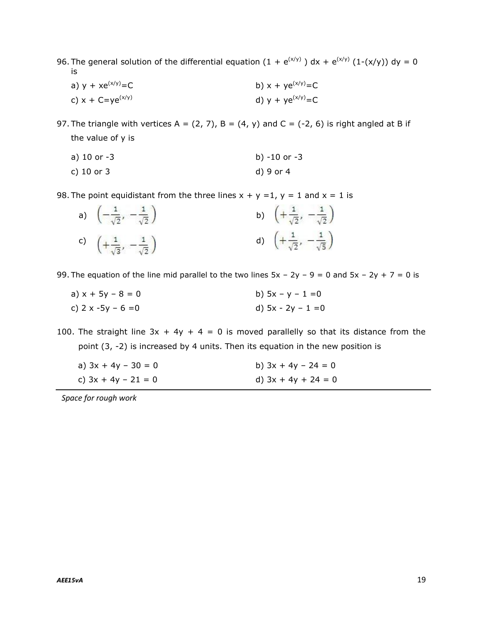- 96. The general solution of the differential equation (1 +  $e^{(x/y)}$  ) dx +  $e^{(x/y)}$  (1-(x/y)) dy = 0 is
	- a)  $y + xe^{(x/y)} = C$  b)  $x + ye^{(x/y)} = C$ c)  $x + C = ye^{(x/y)}$  d)  $y + ye^{(x/y)} = C$
- 97. The triangle with vertices A =  $(2, 7)$ , B =  $(4, y)$  and C =  $(-2, 6)$  is right angled at B if the value of y is

a) 10 or -3 b) -10 or -3

c) 10 or 3 d) 9 or 4

98. The point equidistant from the three lines  $x + y = 1$ ,  $y = 1$  and  $x = 1$  is

| a) $\left(-\frac{1}{\sqrt{2}}, -\frac{1}{\sqrt{2}}\right)$ | b) $\left(+\frac{1}{\sqrt{2}}, -\frac{1}{\sqrt{2}}\right)$ |
|------------------------------------------------------------|------------------------------------------------------------|
| c) $\left(+\frac{1}{\sqrt{3}}, -\frac{1}{\sqrt{2}}\right)$ | d) $\left(+\frac{1}{\sqrt{2}}, -\frac{1}{\sqrt{5}}\right)$ |

99. The equation of the line mid parallel to the two lines  $5x - 2y - 9 = 0$  and  $5x - 2y + 7 = 0$  is

a)  $x + 5y - 8 = 0$  b)  $5x - y - 1 = 0$ c)  $2 \times -5y - 6 = 0$  d)  $5x - 2y - 1 = 0$ 

100. The straight line  $3x + 4y + 4 = 0$  is moved parallelly so that its distance from the point (3, -2) is increased by 4 units. Then its equation in the new position is

| a) $3x + 4y - 30 = 0$ | b) $3x + 4y - 24 = 0$ |
|-----------------------|-----------------------|
| c) $3x + 4y - 21 = 0$ | d) $3x + 4y + 24 = 0$ |